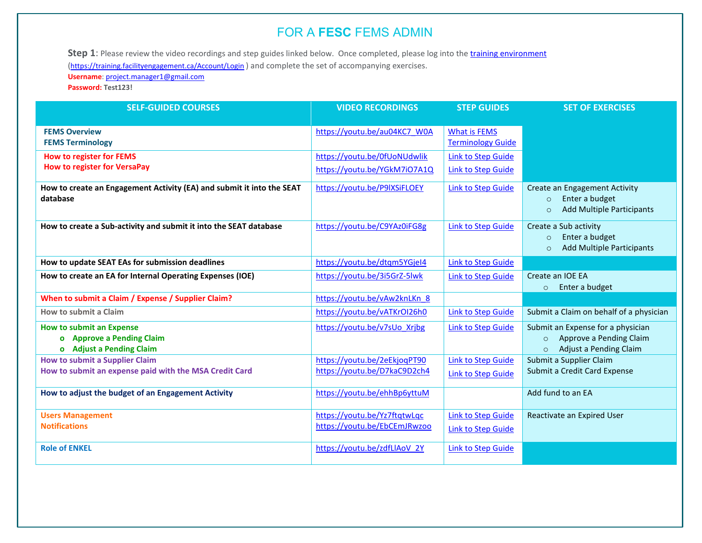Step 1: Please review the video recordings and step guides linked below. Once completed, please log into the *training environment* 

[\(https://training.facilityengagement.ca/Account/Login](https://training.facilityengagement.ca/Account/Login)) and complete the set of accompanying exercises.

**Username**[: project.manager1@gmail.com](mailto:project.manager1@gmail.com)

**Password: Test123!**

| <b>SELF-GUIDED COURSES</b>                                                                      | <b>VIDEO RECORDINGS</b>                                      | <b>STEP GUIDES</b>                                     | <b>SET OF EXERCISES</b>                                                                                      |
|-------------------------------------------------------------------------------------------------|--------------------------------------------------------------|--------------------------------------------------------|--------------------------------------------------------------------------------------------------------------|
| <b>FEMS Overview</b><br><b>FEMS Terminology</b>                                                 | https://youtu.be/au04KC7 W0A                                 | <b>What is FEMS</b><br><b>Terminology Guide</b>        |                                                                                                              |
| <b>How to register for FEMS</b>                                                                 | https://youtu.be/0fUoNUdwlik                                 | <b>Link to Step Guide</b>                              |                                                                                                              |
| <b>How to register for VersaPay</b>                                                             | https://youtu.be/YGkM7iO7A1Q                                 | Link to Step Guide                                     |                                                                                                              |
| How to create an Engagement Activity (EA) and submit it into the SEAT<br>database               | https://youtu.be/P9IXSiFLOEY                                 | <b>Link to Step Guide</b>                              | Create an Engagement Activity<br>Enter a budget<br>$\circ$<br><b>Add Multiple Participants</b><br>$\circ$    |
| How to create a Sub-activity and submit it into the SEAT database                               | https://youtu.be/C9YAz0iFG8g                                 | Link to Step Guide                                     | Create a Sub activity<br>Enter a budget<br>$\circ$<br><b>Add Multiple Participants</b><br>$\circ$            |
| How to update SEAT EAs for submission deadlines                                                 | https://youtu.be/dtqm5YGjel4                                 | Link to Step Guide                                     |                                                                                                              |
| How to create an EA for Internal Operating Expenses (IOE)                                       | https://youtu.be/3i5GrZ-5lwk                                 | Link to Step Guide                                     | Create an IOE EA<br>Enter a budget<br>$\circ$                                                                |
| When to submit a Claim / Expense / Supplier Claim?                                              | https://youtu.be/vAw2knLKn 8                                 |                                                        |                                                                                                              |
| How to submit a Claim                                                                           | https://youtu.be/vATKrOI26h0                                 | Link to Step Guide                                     | Submit a Claim on behalf of a physician                                                                      |
| <b>How to submit an Expense</b><br>o Approve a Pending Claim<br>o Adjust a Pending Claim        | https://youtu.be/v7sUo Xrjbg                                 | <b>Link to Step Guide</b>                              | Submit an Expense for a physician<br>Approve a Pending Claim<br>$\circ$<br>Adjust a Pending Claim<br>$\circ$ |
| <b>How to submit a Supplier Claim</b><br>How to submit an expense paid with the MSA Credit Card | https://youtu.be/2eEkjogPT90<br>https://youtu.be/D7kaC9D2ch4 | <b>Link to Step Guide</b><br><b>Link to Step Guide</b> | Submit a Supplier Claim<br>Submit a Credit Card Expense                                                      |
| How to adjust the budget of an Engagement Activity                                              | https://youtu.be/ehhBp6yttuM                                 |                                                        | Add fund to an EA                                                                                            |
| <b>Users Management</b>                                                                         | https://youtu.be/Yz7ftqtwLqc                                 | <b>Link to Step Guide</b>                              | Reactivate an Expired User                                                                                   |
| <b>Notifications</b>                                                                            | https://youtu.be/EbCEmJRwzoo                                 | Link to Step Guide                                     |                                                                                                              |
| <b>Role of ENKEL</b>                                                                            | https://youtu.be/zdfLlAoV 2Y                                 | <b>Link to Step Guide</b>                              |                                                                                                              |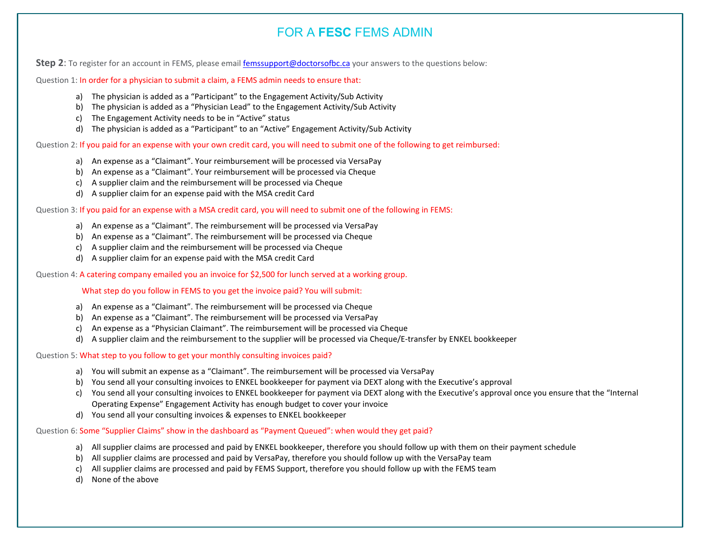**Step 2**: To register for an account in FEMS, please email *femssupport@doctorsofbc.ca* your answers to the questions below:

Question 1: In order for a physician to submit a claim, a FEMS admin needs to ensure that:

- a) The physician is added as a "Participant" to the Engagement Activity/Sub Activity
- b) The physician is added as a "Physician Lead" to the Engagement Activity/Sub Activity
- c) The Engagement Activity needs to be in "Active" status
- d) The physician is added as a "Participant" to an "Active" Engagement Activity/Sub Activity

Question 2: If you paid for an expense with your own credit card, you will need to submit one of the following to get reimbursed:

- a) An expense as a "Claimant". Your reimbursement will be processed via VersaPay
- b) An expense as a "Claimant". Your reimbursement will be processed via Cheque
- c) A supplier claim and the reimbursement will be processed via Cheque
- d) A supplier claim for an expense paid with the MSA credit Card

Question 3: If you paid for an expense with a MSA credit card, you will need to submit one of the following in FEMS:

- a) An expense as a "Claimant". The reimbursement will be processed via VersaPay
- b) An expense as a "Claimant". The reimbursement will be processed via Cheque
- c) A supplier claim and the reimbursement will be processed via Cheque
- d) A supplier claim for an expense paid with the MSA credit Card

Question 4: A catering company emailed you an invoice for \$2,500 for lunch served at a working group.

#### What step do you follow in FEMS to you get the invoice paid? You will submit:

- a) An expense as a "Claimant". The reimbursement will be processed via Cheque
- b) An expense as a "Claimant". The reimbursement will be processed via VersaPay
- c) An expense as a "Physician Claimant". The reimbursement will be processed via Cheque
- d) A supplier claim and the reimbursement to the supplier will be processed via Cheque/E-transfer by ENKEL bookkeeper

Question 5: What step to you follow to get your monthly consulting invoices paid?

- a) You will submit an expense as a "Claimant". The reimbursement will be processed via VersaPay
- b) You send all your consulting invoices to ENKEL bookkeeper for payment via DEXT along with the Executive's approval
- c) You send all your consulting invoices to ENKEL bookkeeper for payment via DEXT along with the Executive's approval once you ensure that the "Internal Operating Expense" Engagement Activity has enough budget to cover your invoice
- d) You send all your consulting invoices & expenses to ENKEL bookkeeper

Question 6: Some "Supplier Claims" show in the dashboard as "Payment Queued": when would they get paid?

- a) All supplier claims are processed and paid by ENKEL bookkeeper, therefore you should follow up with them on their payment schedule
- b) All supplier claims are processed and paid by VersaPay, therefore you should follow up with the VersaPay team
- c) All supplier claims are processed and paid by FEMS Support, therefore you should follow up with the FEMS team
- d) None of the above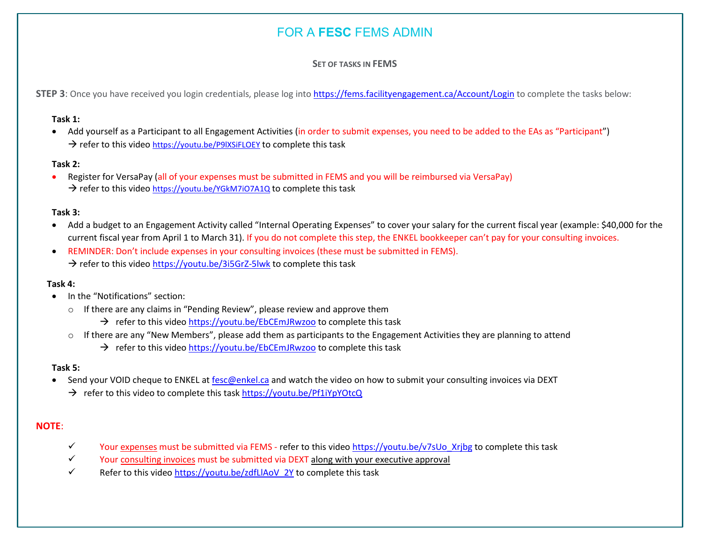## **SET OF TASKS IN FEMS**

STEP 3: Once you have received you login credentials, please log int[o https://fems.facilityengagement.ca/Account/Login](https://fems.facilityengagement.ca/Account/Login) to complete the tasks below:

#### **Task 1:**

• Add yourself as a Participant to all Engagement Activities (in order to submit expenses, you need to be added to the EAs as "Participant")  $\rightarrow$  refer to this video https://youtu.be/P9IXSiFLOEY to complete this task

#### **Task 2:**

• Register for VersaPay (all of your expenses must be submitted in FEMS and you will be reimbursed via VersaPay)  $\rightarrow$  refer to this video<https://youtu.be/YGkM7iO7A1Q> to complete this task

#### **Task 3:**

- Add a budget to an Engagement Activity called "Internal Operating Expenses" to cover your salary for the current fiscal year (example: \$40,000 for the current fiscal year from April 1 to March 31). If you do not complete this step, the ENKEL bookkeeper can't pay for your consulting invoices.
- REMINDER: Don't include expenses in your consulting invoices (these must be submitted in FEMS).  $\rightarrow$  refer to this video<https://youtu.be/3i5GrZ-5lwk> to complete this task

## **Task 4:**

- In the "Notifications" section:
	- o If there are any claims in "Pending Review", please review and approve them
		- $\rightarrow$  refer to this vide[o https://youtu.be/EbCEmJRwzoo](https://youtu.be/EbCEmJRwzoo) to complete this task
	- $\circ$  If there are any "New Members", please add them as participants to the Engagement Activities they are planning to attend
		- $\rightarrow$  refer to this vide[o https://youtu.be/EbCEmJRwzoo](https://youtu.be/EbCEmJRwzoo) to complete this task

#### **Task 5:**

- Send your VOID cheque to ENKEL at [fesc@enkel.ca](mailto:fesc@enkel.ca) and watch the video on how to submit your consulting invoices via DEXT
	- → refer to this video to complete this task<https://youtu.be/Pf1iYpYOtcQ>

## **NOTE**:

- Y vour expenses must be submitted via FEMS refer to this video [https://youtu.be/v7sUo\\_Xrjbg](https://youtu.be/v7sUo_Xrjbg) to complete this task
- $\checkmark$  Your consulting invoices must be submitted via DEXT along with your executive approval
- $\checkmark$  Refer to this video https://youtu.be/zdfLlAoV 2Y to complete this task